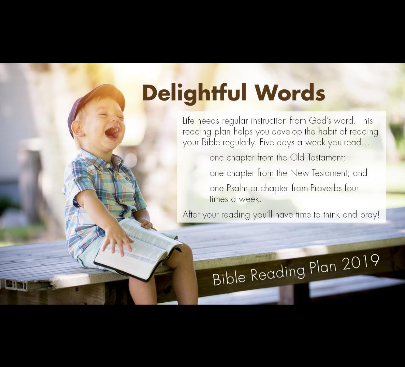## **Delightful Words**

Life needs regular instruction from God's word. This reading plan helps you develop the habit of reading your Bible regularly. Five days a week you read...

one chapter from the Old Testament;

one chapter from the New Testament; and

one Psalm or chapter from Proverbs four times a week.

After your reading you'll have time to think and pray!

# Bible Reading Plan 2019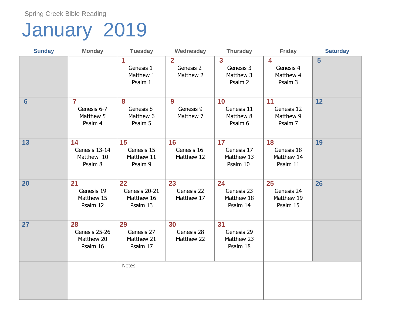## January 2019

| <b>Sunday</b>  | <b>Monday</b>                                                  | <b>Tuesday</b>                                | Wednesday                                  | <b>Thursday</b>                                     | <b>Friday</b>                                                | <b>Saturday</b> |
|----------------|----------------------------------------------------------------|-----------------------------------------------|--------------------------------------------|-----------------------------------------------------|--------------------------------------------------------------|-----------------|
|                |                                                                | 1<br>Genesis 1<br>Matthew 1<br>Psalm 1        | $\overline{2}$<br>Genesis 2<br>Matthew 2   | $\overline{3}$<br>Genesis 3<br>Matthew 3<br>Psalm 2 | $\overline{\mathbf{4}}$<br>Genesis 4<br>Matthew 4<br>Psalm 3 | 5               |
| $6\phantom{1}$ | $\overline{\mathbf{r}}$<br>Genesis 6-7<br>Matthew 5<br>Psalm 4 | 8<br>Genesis 8<br>Matthew 6<br>Psalm 5        | $\boldsymbol{9}$<br>Genesis 9<br>Matthew 7 | 10<br>Genesis 11<br>Matthew 8<br>Psalm 6            | 11<br>Genesis 12<br>Matthew 9<br>Psalm 7                     | 12              |
| 13             | 14<br>Genesis 13-14<br>Matthew 10<br>Psalm 8                   | 15<br>Genesis 15<br>Matthew 11<br>Psalm 9     | 16<br>Genesis 16<br>Matthew 12             | 17<br>Genesis 17<br>Matthew 13<br>Psalm 10          | 18<br>Genesis 18<br>Matthew 14<br>Psalm 11                   | 19              |
| 20             | 21<br>Genesis 19<br>Matthew 15<br>Psalm 12                     | 22<br>Genesis 20-21<br>Matthew 16<br>Psalm 13 | 23<br>Genesis 22<br>Matthew 17             | 24<br>Genesis 23<br>Matthew 18<br>Psalm 14          | 25<br>Genesis 24<br>Matthew 19<br>Psalm 15                   | 26              |
| 27             | 28<br>Genesis 25-26<br>Matthew 20<br>Psalm 16                  | 29<br>Genesis 27<br>Matthew 21<br>Psalm 17    | 30<br>Genesis 28<br>Matthew 22             | 31<br>Genesis 29<br>Matthew 23<br>Psalm 18          |                                                              |                 |
|                |                                                                | <b>Notes</b>                                  |                                            |                                                     |                                                              |                 |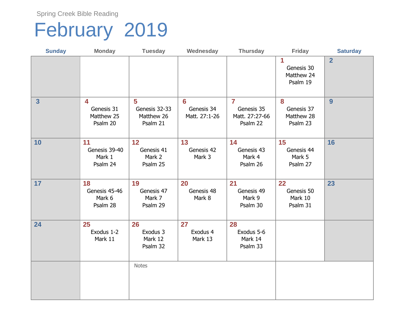### February 2019

| <b>Sunday</b> | <b>Monday</b>                             | <b>Tuesday</b>                               | Wednesday                                     | <b>Thursday</b>                                                     | <b>Friday</b>                             | <b>Saturday</b> |
|---------------|-------------------------------------------|----------------------------------------------|-----------------------------------------------|---------------------------------------------------------------------|-------------------------------------------|-----------------|
|               |                                           |                                              |                                               |                                                                     | 1<br>Genesis 30<br>Matthew 24<br>Psalm 19 | $\overline{2}$  |
| 3             | 4<br>Genesis 31<br>Matthew 25<br>Psalm 20 | 5<br>Genesis 32-33<br>Matthew 26<br>Psalm 21 | $6\phantom{a}$<br>Genesis 34<br>Matt. 27:1-26 | $\overline{\mathbf{7}}$<br>Genesis 35<br>Matt. 27:27-66<br>Psalm 22 | 8<br>Genesis 37<br>Matthew 28<br>Psalm 23 | 9               |
| 10            | 11<br>Genesis 39-40<br>Mark 1<br>Psalm 24 | 12<br>Genesis 41<br>Mark 2<br>Psalm 25       | 13<br>Genesis 42<br>Mark 3                    | 14<br>Genesis 43<br>Mark 4<br>Psalm 26                              | 15<br>Genesis 44<br>Mark 5<br>Psalm 27    | 16              |
| 17            | 18<br>Genesis 45-46<br>Mark 6<br>Psalm 28 | 19<br>Genesis 47<br>Mark 7<br>Psalm 29       | 20<br>Genesis 48<br>Mark 8                    | 21<br>Genesis 49<br>Mark 9<br>Psalm 30                              | 22<br>Genesis 50<br>Mark 10<br>Psalm 31   | 23              |
| 24            | 25<br>Exodus 1-2<br>Mark 11               | 26<br>Exodus 3<br>Mark 12<br>Psalm 32        | 27<br>Exodus 4<br>Mark 13                     | 28<br>Exodus 5-6<br>Mark 14<br>Psalm 33                             |                                           |                 |
|               |                                           | <b>Notes</b>                                 |                                               |                                                                     |                                           |                 |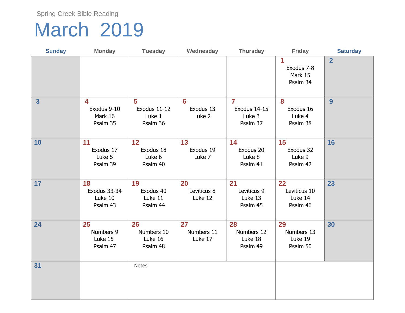#### March 2019

| <b>Sunday</b>           | <b>Monday</b>                                              | <b>Tuesday</b>                          | Wednesday                    | <b>Thursday</b>                                      | <b>Friday</b>                             | <b>Saturday</b> |
|-------------------------|------------------------------------------------------------|-----------------------------------------|------------------------------|------------------------------------------------------|-------------------------------------------|-----------------|
|                         |                                                            |                                         |                              |                                                      | 1<br>Exodus 7-8<br>Mark 15<br>Psalm 34    | $\overline{2}$  |
| $\overline{\mathbf{3}}$ | $\blacktriangleleft$<br>Exodus 9-10<br>Mark 16<br>Psalm 35 | 5<br>Exodus 11-12<br>Luke 1<br>Psalm 36 | 6<br>Exodus 13<br>Luke 2     | $\overline{7}$<br>Exodus 14-15<br>Luke 3<br>Psalm 37 | 8<br>Exodus 16<br>Luke 4<br>Psalm 38      | 9               |
| 10                      | 11<br>Exodus 17<br>Luke 5<br>Psalm 39                      | 12<br>Exodus 18<br>Luke 6<br>Psalm 40   | 13<br>Exodus 19<br>Luke 7    | 14<br>Exodus 20<br>Luke 8<br>Psalm 41                | 15<br>Exodus 32<br>Luke 9<br>Psalm 42     | 16              |
| 17                      | 18<br>Exodus 33-34<br>Luke 10<br>Psalm 43                  | 19<br>Exodus 40<br>Luke 11<br>Psalm 44  | 20<br>Leviticus 8<br>Luke 12 | 21<br>Leviticus 9<br>Luke 13<br>Psalm 45             | 22<br>Leviticus 10<br>Luke 14<br>Psalm 46 | 23              |
| 24                      | 25<br>Numbers 9<br>Luke 15<br>Psalm 47                     | 26<br>Numbers 10<br>Luke 16<br>Psalm 48 | 27<br>Numbers 11<br>Luke 17  | 28<br>Numbers 12<br>Luke 18<br>Psalm 49              | 29<br>Numbers 13<br>Luke 19<br>Psalm 50   | 30              |
| 31                      |                                                            | <b>Notes</b>                            |                              |                                                      |                                           |                 |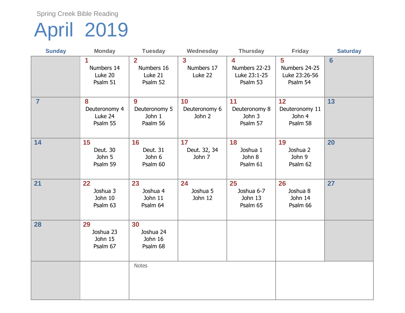## April 2019

| <b>Sunday</b>  | <b>Monday</b>                             | <b>Tuesday</b>                                          | Wednesday                                        | <b>Thursday</b>                                | Friday                                          | <b>Saturday</b> |
|----------------|-------------------------------------------|---------------------------------------------------------|--------------------------------------------------|------------------------------------------------|-------------------------------------------------|-----------------|
|                | 1<br>Numbers 14<br>Luke 20<br>Psalm 51    | $\overline{2}$<br>Numbers 16<br>Luke 21<br>Psalm 52     | $\overline{\mathbf{3}}$<br>Numbers 17<br>Luke 22 | 4<br>Numbers 22-23<br>Luke 23:1-25<br>Psalm 53 | 5<br>Numbers 24-25<br>Luke 23:26-56<br>Psalm 54 | $6\phantom{1}$  |
| $\overline{7}$ | 8<br>Deuteronomy 4<br>Luke 24<br>Psalm 55 | $\boldsymbol{9}$<br>Deuteronomy 5<br>John 1<br>Paalm 56 | 10<br>Deuteronomy 6<br>John 2                    | 11<br>Deuteronomy 8<br>John 3<br>Psalm 57      | 12<br>Deuteronomy 11<br>John 4<br>Psalm 58      | 13              |
| 14             | 15<br>Deut. 30<br>John 5<br>Psalm 59      | 16<br>Deut. 31<br>John 6<br>Psalm 60                    | 17<br>Deut. 32, 34<br>John 7                     | 18<br>Joshua 1<br>John 8<br>Psalm 61           | 19<br>Joshua 2<br>John 9<br>Psalm 62            | 20              |
| 21             | 22<br>Joshua 3<br>John 10<br>Psalm 63     | 23<br>Joshua 4<br>John 11<br>Psalm 64                   | 24<br>Joshua 5<br>John 12                        | 25<br>Joshua 6-7<br>John 13<br>Psalm 65        | 26<br>Joshua 8<br>John 14<br>Psalm 66           | 27              |
| 28             | 29<br>Joshua 23<br>John 15<br>Psalm 67    | 30<br>Joshua 24<br>John 16<br>Psalm 68                  |                                                  |                                                |                                                 |                 |
|                |                                           | <b>Notes</b>                                            |                                                  |                                                |                                                 |                 |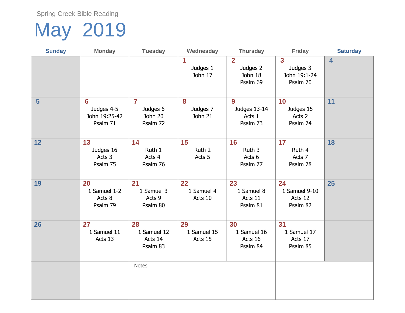# May 2019

| <b>Sunday</b>  | <b>Monday</b>                                             | <b>Tuesday</b>                                    | Wednesday                    | <b>Thursday</b>                                 | <b>Friday</b>                                                   | <b>Saturday</b> |
|----------------|-----------------------------------------------------------|---------------------------------------------------|------------------------------|-------------------------------------------------|-----------------------------------------------------------------|-----------------|
|                |                                                           |                                                   | 1<br>Judges 1<br>John 17     | $\mathbf{2}$<br>Judges 2<br>John 18<br>Psalm 69 | $\overline{\mathbf{3}}$<br>Judges 3<br>John 19:1-24<br>Psalm 70 | 4               |
| $5\phantom{1}$ | $6\phantom{a}$<br>Judges 4-5<br>John 19:25-42<br>Psalm 71 | $\overline{7}$<br>Judges 6<br>John 20<br>Psalm 72 | 8<br>Judges 7<br>John 21     | 9<br>Judges 13-14<br>Acts 1<br>Psalm 73         | 10<br>Judges 15<br>Acts 2<br>Psalm 74                           | 11              |
| 12             | 13<br>Judges 16<br>Acts 3<br>Psalm 75                     | 14<br>Ruth 1<br>Acts 4<br>Psalm 76                | 15<br>Ruth 2<br>Acts 5       | 16<br>Ruth 3<br>Acts 6<br>Psalm 77              | 17<br>Ruth 4<br>Acts 7<br>Psalm 78                              | 18              |
| 19             | 20<br>1 Samuel 1-2<br>Acts 8<br>Psalm 79                  | 21<br>1 Samuel 3<br>Acts 9<br>Psalm 80            | 22<br>1 Samuel 4<br>Acts 10  | 23<br>1 Samuel 8<br>Acts 11<br>Psalm 81         | 24<br>1 Samuel 9-10<br>Acts 12<br>Psalm 82                      | 25              |
| 26             | 27<br>1 Samuel 11<br>Acts 13                              | 28<br>1 Samuel 12<br>Acts 14<br>Psalm 83          | 29<br>1 Samuel 15<br>Acts 15 | 30<br>1 Samuel 16<br>Acts 16<br>Psalm 84        | 31<br>1 Samuel 17<br>Acts 17<br>Psalm 85                        |                 |
|                |                                                           | <b>Notes</b>                                      |                              |                                                 |                                                                 |                 |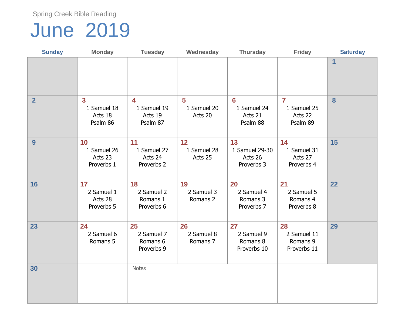### June 2019

| <b>Sunday</b>  | <b>Monday</b>                                                 | <b>Tuesday</b>                                                | Wednesday                    | <b>Thursday</b>                               | <b>Friday</b>                                        | <b>Saturday</b> |
|----------------|---------------------------------------------------------------|---------------------------------------------------------------|------------------------------|-----------------------------------------------|------------------------------------------------------|-----------------|
|                |                                                               |                                                               |                              |                                               |                                                      | $\mathbf{1}$    |
| $\overline{2}$ | $\overline{\mathbf{3}}$<br>1 Samuel 18<br>Acts 18<br>Psalm 86 | $\overline{\mathbf{4}}$<br>1 Samuel 19<br>Acts 19<br>Psalm 87 | 5<br>1 Samuel 20<br>Acts 20  | 6<br>1 Samuel 24<br>Acts 21<br>Psalm 88       | $\overline{7}$<br>1 Samuel 25<br>Acts 22<br>Psalm 89 | 8               |
| 9              | 10<br>1 Samuel 26<br>Acts 23<br>Proverbs 1                    | 11<br>1 Samuel 27<br>Acts 24<br>Proverbs 2                    | 12<br>1 Samuel 28<br>Acts 25 | 13<br>1 Samuel 29-30<br>Acts 26<br>Proverbs 3 | 14<br>1 Samuel 31<br>Acts 27<br>Proverbs 4           | 15              |
| 16             | 17<br>2 Samuel 1<br>Acts 28<br>Proverbs 5                     | 18<br>2 Samuel 2<br>Romans 1<br>Proverbs 6                    | 19<br>2 Samuel 3<br>Romans 2 | 20<br>2 Samuel 4<br>Romans 3<br>Proverbs 7    | 21<br>2 Samuel 5<br>Romans 4<br>Proverbs 8           | 22              |
| 23             | 24<br>2 Samuel 6<br>Romans 5                                  | 25<br>2 Samuel 7<br>Romans 6<br>Proverbs 9                    | 26<br>2 Samuel 8<br>Romans 7 | 27<br>2 Samuel 9<br>Romans 8<br>Proverbs 10   | 28<br>2 Samuel 11<br>Romans 9<br>Proverbs 11         | 29              |
| 30             |                                                               | <b>Notes</b>                                                  |                              |                                               |                                                      |                 |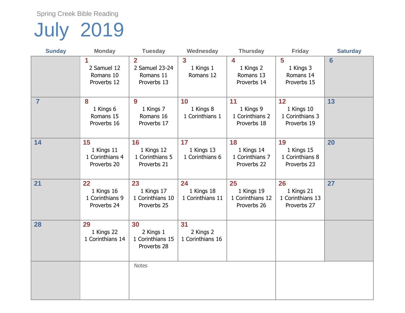# July 2019

| <b>Sunday</b>  | <b>Monday</b>                                      | <b>Tuesday</b>                                               | Wednesday                            | <b>Thursday</b>                                     | <b>Friday</b>                                       | <b>Saturday</b> |
|----------------|----------------------------------------------------|--------------------------------------------------------------|--------------------------------------|-----------------------------------------------------|-----------------------------------------------------|-----------------|
|                | 1<br>2 Samuel 12<br>Romans 10<br>Proverbs 12       | $\overline{2}$<br>2 Samuel 23-24<br>Romans 11<br>Proverbs 13 | 3<br>1 Kings 1<br>Romans 12          | 4<br>1 Kings 2<br>Romans 13<br>Proverbs 14          | 5<br>1 Kings 3<br>Romans 14<br>Proverbs 15          | $6\phantom{1}$  |
| $\overline{7}$ | 8<br>1 Kings 6<br>Romans 15<br>Proverbs 16         | 9<br>1 Kings 7<br>Romans 16<br>Proverbs 17                   | 10<br>1 Kings 8<br>1 Corinthians 1   | 11<br>1 Kings 9<br>1 Corinthians 2<br>Proverbs 18   | 12<br>1 Kings 10<br>1 Corinthians 3<br>Proverbs 19  | 13              |
| 14             | 15<br>1 Kings 11<br>1 Corinthians 4<br>Proverbs 20 | 16<br>1 Kings 12<br>1 Corinthians 5<br>Proverbs 21           | 17<br>1 Kings 13<br>1 Corinthians 6  | 18<br>1 Kings 14<br>1 Corinthians 7<br>Proverbs 22  | 19<br>1 Kings 15<br>1 Corinthians 8<br>Proverbs 23  | 20              |
| 21             | 22<br>1 Kings 16<br>1 Corinthians 9<br>Proverbs 24 | 23<br>1 Kings 17<br>1 Corinthians 10<br>Proverbs 25          | 24<br>1 Kings 18<br>1 Corinthians 11 | 25<br>1 Kings 19<br>1 Corinthians 12<br>Proverbs 26 | 26<br>1 Kings 21<br>1 Corinthians 13<br>Proverbs 27 | 27              |
| 28             | 29<br>1 Kings 22<br>1 Corinthians 14               | 30<br>2 Kings 1<br>1 Corinthians 15<br>Proverbs 28           | 31<br>2 Kings 2<br>1 Corinthians 16  |                                                     |                                                     |                 |
|                |                                                    | <b>Notes</b>                                                 |                                      |                                                     |                                                     |                 |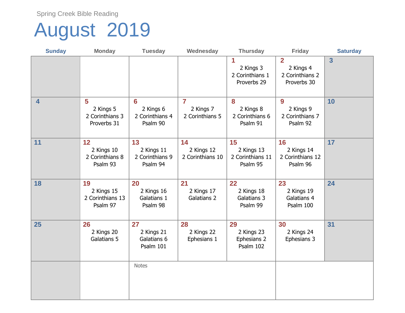### August 2019

| <b>Sunday</b> | <b>Monday</b>                                    | <b>Tuesday</b>                                             | Wednesday                                      | <b>Thursday</b>                                  | <b>Friday</b>                                                 | <b>Saturday</b> |
|---------------|--------------------------------------------------|------------------------------------------------------------|------------------------------------------------|--------------------------------------------------|---------------------------------------------------------------|-----------------|
|               |                                                  |                                                            |                                                | 1<br>2 Kings 3<br>2 Corinthians 1<br>Proverbs 29 | $\overline{2}$<br>2 Kings 4<br>2 Corinthians 2<br>Proverbs 30 | $\overline{3}$  |
| 4             | 5<br>2 Kings 5<br>2 Corinthians 3<br>Proverbs 31 | $6\phantom{a}$<br>2 Kings 6<br>2 Corinthians 4<br>Psalm 90 | $\overline{7}$<br>2 Kings 7<br>2 Corinthians 5 | 8<br>2 Kings 8<br>2 Corinthians 6<br>Psalm 91    | 9<br>2 Kings 9<br>2 Corinthians 7<br>Psalm 92                 | 10              |
| 11            | 12<br>2 Kings 10<br>2 Corinthians 8<br>Psalm 93  | 13<br>2 Kings 11<br>2 Corinthians 9<br>Psalm 94            | 14<br>2 Kings 12<br>2 Corinthians 10           | 15<br>2 Kings 13<br>2 Corinthians 11<br>Psalm 95 | 16<br>2 Kings 14<br>2 Corinthians 12<br>Psalm 96              | 17              |
| 18            | 19<br>2 Kings 15<br>2 Corinthians 13<br>Psalm 97 | 20<br>2 Kings 16<br>Galatians 1<br>Psalm 98                | 21<br>2 Kings 17<br><b>Galatians 2</b>         | 22<br>2 Kings 18<br>Galatians 3<br>Psalm 99      | 23<br>2 Kings 19<br>Galatians 4<br>Psalm 100                  | 24              |
| 25            | 26<br>2 Kings 20<br>Galatians 5                  | 27<br>2 Kings 21<br>Galatians 6<br>Psalm 101               | 28<br>2 Kings 22<br>Ephesians 1                | 29<br>2 Kings 23<br>Ephesians 2<br>Psalm 102     | 30<br>2 Kings 24<br>Ephesians 3                               | 31              |
|               |                                                  | <b>Notes</b>                                               |                                                |                                                  |                                                               |                 |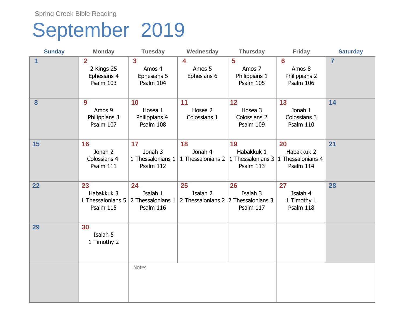#### September 2019

| <b>Sunday</b> | <b>Monday</b>                                            | <b>Tuesday</b>                                                | Wednesday                           | <b>Thursday</b>                                    | <b>Friday</b>                                      | <b>Saturday</b> |
|---------------|----------------------------------------------------------|---------------------------------------------------------------|-------------------------------------|----------------------------------------------------|----------------------------------------------------|-----------------|
| $\mathbf 1$   | $\overline{2}$<br>2 Kings 25<br>Ephesians 4<br>Psalm 103 | $\overline{\mathbf{3}}$<br>Amos 4<br>Ephesians 5<br>Psalm 104 | 4<br>Amos 5<br>Ephesians 6          | 5<br>Amos 7<br>Philippians 1<br>Psalm 105          | 6<br>Amos 8<br>Philippians 2<br>Psalm 106          | $\overline{7}$  |
| 8             | 9<br>Amos 9<br>Philippians 3<br>Psalm 107                | 10<br>Hosea 1<br>Philippians 4<br>Psalm 108                   | 11<br>Hosea 2<br>Colossians 1       | 12<br>Hosea 3<br>Colossians 2<br>Psalm 109         | 13<br>Jonah 1<br>Colossians 3<br>Psalm 110         | 14              |
| 15            | 16<br>Jonah 2<br>Colossians 4<br>Psalm 111               | 17<br>Jonah 3<br>1 Thessalonians 1<br>Psalm 112               | 18<br>Jonah 4<br>1 Thessalonians 2  | 19<br>Habakkuk 1<br>1 Thessalonians 3<br>Psalm 113 | 20<br>Habakkuk 2<br>1 Thessalonians 4<br>Psalm 114 | 21              |
| 22            | 23<br>Habakkuk 3<br>1 Thessalonians 5<br>Psalm 115       | 24<br>Isaiah 1<br>2 Thessalonians 1<br>Psalm 116              | 25<br>Isaiah 2<br>2 Thessalonians 2 | 26<br>Isaiah 3<br>2 Thessalonians 3<br>Psalm 117   | 27<br>Isaiah 4<br>1 Timothy 1<br>Psalm 118         | 28              |
| 29            | 30<br>Isaiah 5<br>1 Timothy 2                            |                                                               |                                     |                                                    |                                                    |                 |
|               |                                                          | <b>Notes</b>                                                  |                                     |                                                    |                                                    |                 |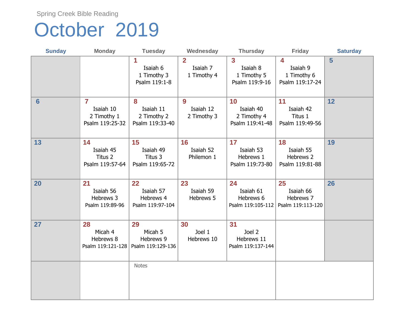#### October 2019

| <b>Sunday</b>  | <b>Monday</b>                                                          | <b>Tuesday</b>                                   | Wednesday                                 | <b>Thursday</b>                                                      | <b>Friday</b>                                                         | <b>Saturday</b> |
|----------------|------------------------------------------------------------------------|--------------------------------------------------|-------------------------------------------|----------------------------------------------------------------------|-----------------------------------------------------------------------|-----------------|
|                |                                                                        | 1<br>Isaiah 6<br>1 Timothy 3<br>Psalm 119:1-8    | $\overline{2}$<br>Isaiah 7<br>1 Timothy 4 | $\overline{\mathbf{3}}$<br>Isaiah 8<br>1 Timothy 5<br>Psalm 119:9-16 | $\overline{\mathbf{4}}$<br>Isaiah 9<br>1 Timothy 6<br>Psalm 119:17-24 | 5               |
| $6\phantom{1}$ | $\overline{\mathbf{7}}$<br>Isaiah 10<br>2 Timothy 1<br>Psalm 119:25-32 | 8<br>Isaiah 11<br>2 Timothy 2<br>Psalm 119:33-40 | 9<br>Isaiah 12<br>2 Timothy 3             | 10<br>Isaiah 40<br>2 Timothy 4<br>Psalm 119:41-48                    | 11<br>Isaiah 42<br>Titus 1<br>Psalm 119:49-56                         | 12              |
| 13             | 14<br>Isaiah 45<br>Titus 2<br>Psalm 119:57-64                          | 15<br>Isaiah 49<br>Titus 3<br>Psalm 119:65-72    | 16<br>Isaiah 52<br>Philemon 1             | 17<br>Isaiah 53<br>Hebrews 1<br>Psalm 119:73-80                      | 18<br>Isaiah 55<br>Hebrews 2<br>Psalm 119:81-88                       | 19              |
| 20             | 21<br>Isaiah 56<br>Hebrews 3<br>Psalm 119:89-96                        | 22<br>Isaiah 57<br>Hebrews 4<br>Psalm 119:97-104 | 23<br>Isaiah 59<br>Hebrews 5              | 24<br>Isaiah 61<br>Hebrews 6<br>Psalm 119:105-112                    | 25<br>Isaiah 66<br>Hebrews 7<br>Psalm 119:113-120                     | 26              |
| 27             | 28<br>Micah 4<br>Hebrews 8<br>Psalm 119:121-128                        | 29<br>Micah 5<br>Hebrews 9<br>Psalm 119:129-136  | 30<br>Joel 1<br>Hebrews 10                | 31<br>Joel 2<br>Hebrews 11<br>Psalm 119:137-144                      |                                                                       |                 |
|                |                                                                        | <b>Notes</b>                                     |                                           |                                                                      |                                                                       |                 |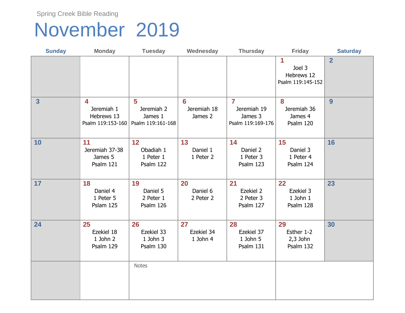#### November 2019

| <b>Sunday</b>           | <b>Monday</b>                                                         | <b>Tuesday</b>                                                        | Wednesday                                | <b>Thursday</b>                                               | <b>Friday</b>                                  | <b>Saturday</b> |
|-------------------------|-----------------------------------------------------------------------|-----------------------------------------------------------------------|------------------------------------------|---------------------------------------------------------------|------------------------------------------------|-----------------|
|                         |                                                                       |                                                                       |                                          |                                                               | 1<br>Joel 3<br>Hebrews 12<br>Psalm 119:145-152 | $\overline{2}$  |
| $\overline{\mathbf{3}}$ | $\blacktriangleleft$<br>Jeremiah 1<br>Hebrews 13<br>Psalm 119:153-160 | $\overline{\mathbf{5}}$<br>Jeremiah 2<br>James 1<br>Psalm 119:161-168 | $6\phantom{a}$<br>Jeremiah 18<br>James 2 | $\overline{7}$<br>Jeremiah 19<br>James 3<br>Psalm 119:169-176 | 8<br>Jeremiah 36<br>James 4<br>Psalm 120       | 9               |
| 10                      | 11<br>Jeremiah 37-38<br>James 5<br>Psalm 121                          | 12<br>Obadiah 1<br>1 Peter 1<br>Psalm 122                             | 13<br>Daniel 1<br>1 Peter 2              | 14<br>Daniel 2<br>1 Peter 3<br>Psalm 123                      | 15<br>Daniel 3<br>1 Peter 4<br>Psalm 124       | 16              |
| 17                      | 18<br>Daniel 4<br>1 Peter 5<br>Pslam 125                              | 19<br>Daniel 5<br>2 Peter 1<br>Psalm 126                              | 20<br>Daniel 6<br>2 Peter 2              | 21<br>Ezekiel 2<br>2 Peter 3<br>Psalm 127                     | 22<br>Ezekiel 3<br>$1$ John $1$<br>Psalm 128   | 23              |
| 24                      | 25<br>Ezekiel 18<br>1 John 2<br>Psalm 129                             | 26<br>Ezekiel 33<br>1 John 3<br>Psalm 130                             | 27<br>Ezekiel 34<br>1 John 4             | 28<br>Ezekiel 37<br>$1$ John $5$<br>Psalm 131                 | 29<br>Esther 1-2<br>$2,3$ John<br>Psalm 132    | 30              |
|                         |                                                                       | <b>Notes</b>                                                          |                                          |                                                               |                                                |                 |